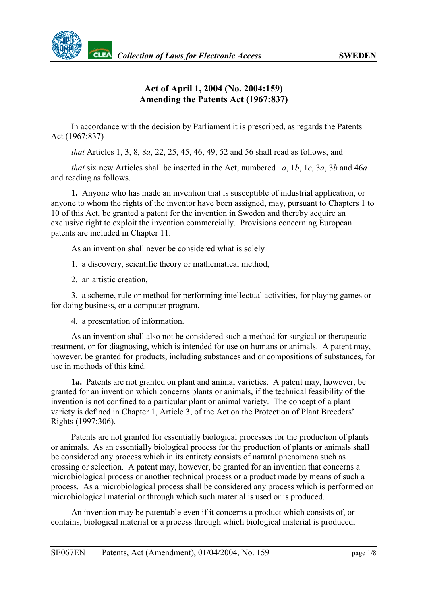

## **Act of April 1, 2004 (No. 2004:159) Amending the Patents Act (1967:837)**

In accordance with the decision by Parliament it is prescribed, as regards the Patents Act (1967:837)

*that* Articles 1, 3, 8, 8*a*, 22, 25, 45, 46, 49, 52 and 56 shall read as follows, and

*that* six new Articles shall be inserted in the Act, numbered 1*a*, 1*b*, 1*c*, 3*a*, 3*b* and 46*a* and reading as follows.

**1.** Anyone who has made an invention that is susceptible of industrial application, or anyone to whom the rights of the inventor have been assigned, may, pursuant to Chapters 1 to 10 of this Act, be granted a patent for the invention in Sweden and thereby acquire an exclusive right to exploit the invention commercially. Provisions concerning European patents are included in Chapter 11.

As an invention shall never be considered what is solely

1. a discovery, scientific theory or mathematical method,

2. an artistic creation,

3. a scheme, rule or method for performing intellectual activities, for playing games or for doing business, or a computer program,

4. a presentation of information.

As an invention shall also not be considered such a method for surgical or therapeutic treatment, or for diagnosing, which is intended for use on humans or animals. A patent may, however, be granted for products, including substances and or compositions of substances, for use in methods of this kind.

**1***a***.** Patents are not granted on plant and animal varieties. A patent may, however, be granted for an invention which concerns plants or animals, if the technical feasibility of the invention is not confined to a particular plant or animal variety. The concept of a plant variety is defined in Chapter 1, Article 3, of the Act on the Protection of Plant Breeders' Rights (1997:306).

Patents are not granted for essentially biological processes for the production of plants or animals. As an essentially biological process for the production of plants or animals shall be considered any process which in its entirety consists of natural phenomena such as crossing or selection. A patent may, however, be granted for an invention that concerns a microbiological process or another technical process or a product made by means of such a process. As a microbiological process shall be considered any process which is performed on microbiological material or through which such material is used or is produced.

An invention may be patentable even if it concerns a product which consists of, or contains, biological material or a process through which biological material is produced,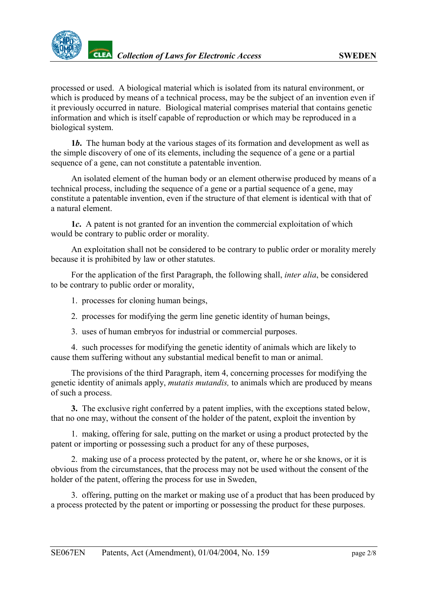processed or used. A biological material which is isolated from its natural environment, or which is produced by means of a technical process, may be the subject of an invention even if it previously occurred in nature. Biological material comprises material that contains genetic information and which is itself capable of reproduction or which may be reproduced in a biological system.

**1***b***.** The human body at the various stages of its formation and development as well as the simple discovery of one of its elements, including the sequence of a gene or a partial sequence of a gene, can not constitute a patentable invention.

An isolated element of the human body or an element otherwise produced by means of a technical process, including the sequence of a gene or a partial sequence of a gene, may constitute a patentable invention, even if the structure of that element is identical with that of a natural element.

**1***c***.** A patent is not granted for an invention the commercial exploitation of which would be contrary to public order or morality.

An exploitation shall not be considered to be contrary to public order or morality merely because it is prohibited by law or other statutes.

For the application of the first Paragraph, the following shall, *inter alia*, be considered to be contrary to public order or morality,

- 1. processes for cloning human beings,
- 2. processes for modifying the germ line genetic identity of human beings,
- 3. uses of human embryos for industrial or commercial purposes.

4. such processes for modifying the genetic identity of animals which are likely to cause them suffering without any substantial medical benefit to man or animal.

The provisions of the third Paragraph, item 4, concerning processes for modifying the genetic identity of animals apply, *mutatis mutandis,* to animals which are produced by means of such a process.

**3.** The exclusive right conferred by a patent implies, with the exceptions stated below, that no one may, without the consent of the holder of the patent, exploit the invention by

1. making, offering for sale, putting on the market or using a product protected by the patent or importing or possessing such a product for any of these purposes,

2. making use of a process protected by the patent, or, where he or she knows, or it is obvious from the circumstances, that the process may not be used without the consent of the holder of the patent, offering the process for use in Sweden,

3. offering, putting on the market or making use of a product that has been produced by a process protected by the patent or importing or possessing the product for these purposes.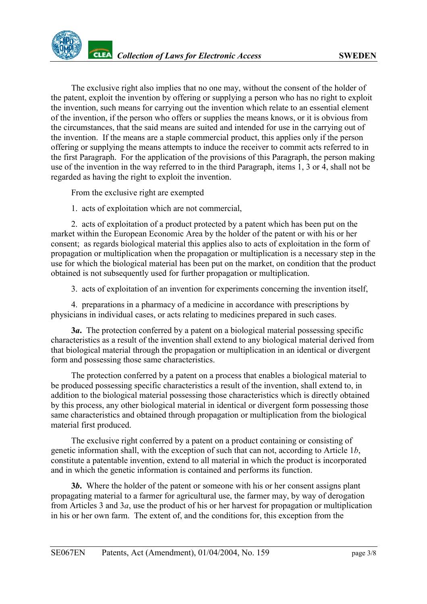The exclusive right also implies that no one may, without the consent of the holder of the patent, exploit the invention by offering or supplying a person who has no right to exploit the invention, such means for carrying out the invention which relate to an essential element of the invention, if the person who offers or supplies the means knows, or it is obvious from the circumstances, that the said means are suited and intended for use in the carrying out of the invention. If the means are a staple commercial product, this applies only if the person offering or supplying the means attempts to induce the receiver to commit acts referred to in the first Paragraph. For the application of the provisions of this Paragraph, the person making use of the invention in the way referred to in the third Paragraph, items 1, 3 or 4, shall not be regarded as having the right to exploit the invention.

From the exclusive right are exempted

1. acts of exploitation which are not commercial,

2. acts of exploitation of a product protected by a patent which has been put on the market within the European Economic Area by the holder of the patent or with his or her consent; as regards biological material this applies also to acts of exploitation in the form of propagation or multiplication when the propagation or multiplication is a necessary step in the use for which the biological material has been put on the market, on condition that the product obtained is not subsequently used for further propagation or multiplication.

3. acts of exploitation of an invention for experiments concerning the invention itself,

4. preparations in a pharmacy of a medicine in accordance with prescriptions by physicians in individual cases, or acts relating to medicines prepared in such cases.

**3***a***.** The protection conferred by a patent on a biological material possessing specific characteristics as a result of the invention shall extend to any biological material derived from that biological material through the propagation or multiplication in an identical or divergent form and possessing those same characteristics.

The protection conferred by a patent on a process that enables a biological material to be produced possessing specific characteristics a result of the invention, shall extend to, in addition to the biological material possessing those characteristics which is directly obtained by this process, any other biological material in identical or divergent form possessing those same characteristics and obtained through propagation or multiplication from the biological material first produced.

The exclusive right conferred by a patent on a product containing or consisting of genetic information shall, with the exception of such that can not, according to Article 1*b*, constitute a patentable invention, extend to all material in which the product is incorporated and in which the genetic information is contained and performs its function.

**3***b***.** Where the holder of the patent or someone with his or her consent assigns plant propagating material to a farmer for agricultural use, the farmer may, by way of derogation from Articles 3 and 3*a*, use the product of his or her harvest for propagation or multiplication in his or her own farm. The extent of, and the conditions for, this exception from the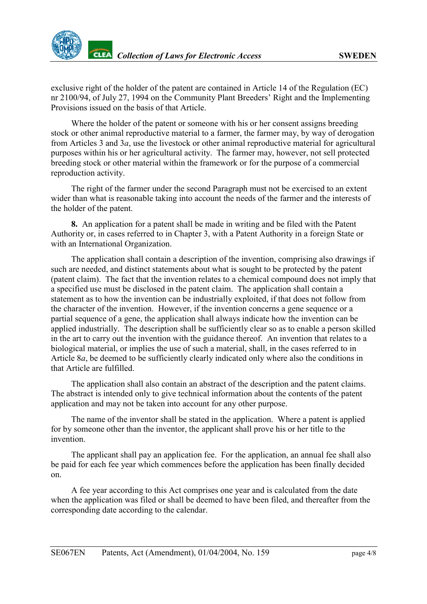exclusive right of the holder of the patent are contained in Article 14 of the Regulation (EC) nr 2100/94, of July 27, 1994 on the Community Plant Breeders' Right and the Implementing Provisions issued on the basis of that Article.

Where the holder of the patent or someone with his or her consent assigns breeding stock or other animal reproductive material to a farmer, the farmer may, by way of derogation from Articles 3 and 3*a*, use the livestock or other animal reproductive material for agricultural purposes within his or her agricultural activity. The farmer may, however, not sell protected breeding stock or other material within the framework or for the purpose of a commercial reproduction activity.

The right of the farmer under the second Paragraph must not be exercised to an extent wider than what is reasonable taking into account the needs of the farmer and the interests of the holder of the patent.

**8.** An application for a patent shall be made in writing and be filed with the Patent Authority or, in cases referred to in Chapter 3, with a Patent Authority in a foreign State or with an International Organization.

The application shall contain a description of the invention, comprising also drawings if such are needed, and distinct statements about what is sought to be protected by the patent (patent claim). The fact that the invention relates to a chemical compound does not imply that a specified use must be disclosed in the patent claim. The application shall contain a statement as to how the invention can be industrially exploited, if that does not follow from the character of the invention. However, if the invention concerns a gene sequence or a partial sequence of a gene, the application shall always indicate how the invention can be applied industrially. The description shall be sufficiently clear so as to enable a person skilled in the art to carry out the invention with the guidance thereof. An invention that relates to a biological material, or implies the use of such a material, shall, in the cases referred to in Article 8*a*, be deemed to be sufficiently clearly indicated only where also the conditions in that Article are fulfilled.

The application shall also contain an abstract of the description and the patent claims. The abstract is intended only to give technical information about the contents of the patent application and may not be taken into account for any other purpose.

The name of the inventor shall be stated in the application. Where a patent is applied for by someone other than the inventor, the applicant shall prove his or her title to the invention.

The applicant shall pay an application fee. For the application, an annual fee shall also be paid for each fee year which commences before the application has been finally decided on.

A fee year according to this Act comprises one year and is calculated from the date when the application was filed or shall be deemed to have been filed, and thereafter from the corresponding date according to the calendar.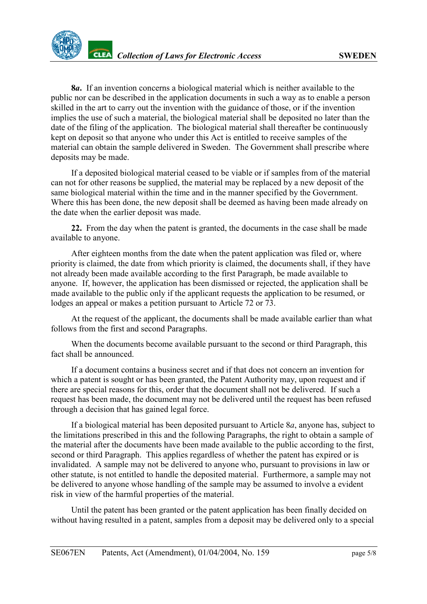**8***a***.** If an invention concerns a biological material which is neither available to the public nor can be described in the application documents in such a way as to enable a person skilled in the art to carry out the invention with the guidance of those, or if the invention implies the use of such a material, the biological material shall be deposited no later than the date of the filing of the application. The biological material shall thereafter be continuously kept on deposit so that anyone who under this Act is entitled to receive samples of the material can obtain the sample delivered in Sweden. The Government shall prescribe where deposits may be made.

If a deposited biological material ceased to be viable or if samples from of the material can not for other reasons be supplied, the material may be replaced by a new deposit of the same biological material within the time and in the manner specified by the Government. Where this has been done, the new deposit shall be deemed as having been made already on the date when the earlier deposit was made.

**22.** From the day when the patent is granted, the documents in the case shall be made available to anyone.

After eighteen months from the date when the patent application was filed or, where priority is claimed, the date from which priority is claimed, the documents shall, if they have not already been made available according to the first Paragraph, be made available to anyone. If, however, the application has been dismissed or rejected, the application shall be made available to the public only if the applicant requests the application to be resumed, or lodges an appeal or makes a petition pursuant to Article 72 or 73.

At the request of the applicant, the documents shall be made available earlier than what follows from the first and second Paragraphs.

When the documents become available pursuant to the second or third Paragraph, this fact shall be announced.

If a document contains a business secret and if that does not concern an invention for which a patent is sought or has been granted, the Patent Authority may, upon request and if there are special reasons for this, order that the document shall not be delivered. If such a request has been made, the document may not be delivered until the request has been refused through a decision that has gained legal force.

If a biological material has been deposited pursuant to Article 8*a*, anyone has, subject to the limitations prescribed in this and the following Paragraphs, the right to obtain a sample of the material after the documents have been made available to the public according to the first, second or third Paragraph. This applies regardless of whether the patent has expired or is invalidated. A sample may not be delivered to anyone who, pursuant to provisions in law or other statute, is not entitled to handle the deposited material. Furthermore, a sample may not be delivered to anyone whose handling of the sample may be assumed to involve a evident risk in view of the harmful properties of the material.

Until the patent has been granted or the patent application has been finally decided on without having resulted in a patent, samples from a deposit may be delivered only to a special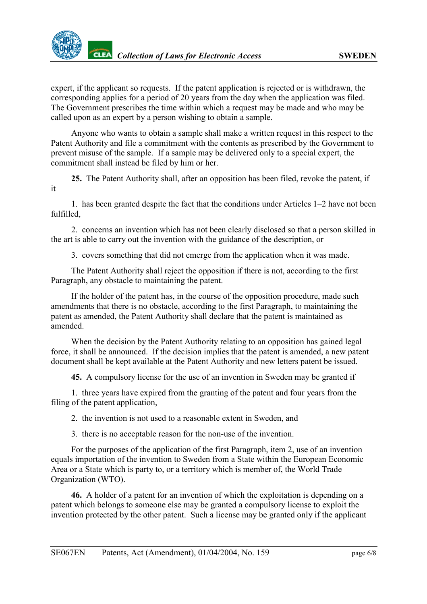expert, if the applicant so requests. If the patent application is rejected or is withdrawn, the corresponding applies for a period of 20 years from the day when the application was filed. The Government prescribes the time within which a request may be made and who may be called upon as an expert by a person wishing to obtain a sample.

Anyone who wants to obtain a sample shall make a written request in this respect to the Patent Authority and file a commitment with the contents as prescribed by the Government to prevent misuse of the sample. If a sample may be delivered only to a special expert, the commitment shall instead be filed by him or her.

**25.** The Patent Authority shall, after an opposition has been filed, revoke the patent, if it

1. has been granted despite the fact that the conditions under Articles 1–2 have not been fulfilled,

2. concerns an invention which has not been clearly disclosed so that a person skilled in the art is able to carry out the invention with the guidance of the description, or

3. covers something that did not emerge from the application when it was made.

The Patent Authority shall reject the opposition if there is not, according to the first Paragraph, any obstacle to maintaining the patent.

If the holder of the patent has, in the course of the opposition procedure, made such amendments that there is no obstacle, according to the first Paragraph, to maintaining the patent as amended, the Patent Authority shall declare that the patent is maintained as amended.

When the decision by the Patent Authority relating to an opposition has gained legal force, it shall be announced. If the decision implies that the patent is amended, a new patent document shall be kept available at the Patent Authority and new letters patent be issued.

**45.** A compulsory license for the use of an invention in Sweden may be granted if

1. three years have expired from the granting of the patent and four years from the filing of the patent application,

2. the invention is not used to a reasonable extent in Sweden, and

3. there is no acceptable reason for the non-use of the invention.

For the purposes of the application of the first Paragraph, item 2, use of an invention equals importation of the invention to Sweden from a State within the European Economic Area or a State which is party to, or a territory which is member of, the World Trade Organization (WTO).

**46.** A holder of a patent for an invention of which the exploitation is depending on a patent which belongs to someone else may be granted a compulsory license to exploit the invention protected by the other patent. Such a license may be granted only if the applicant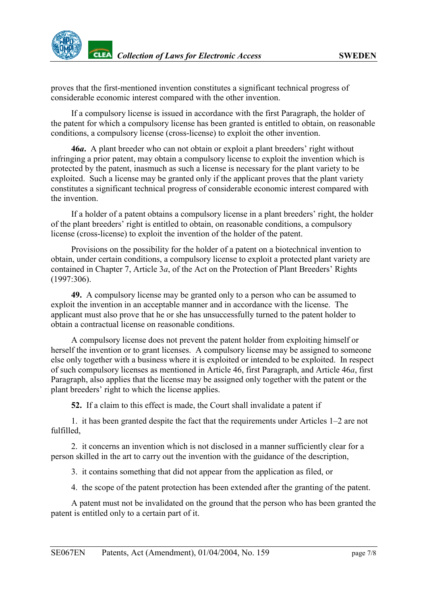proves that the first-mentioned invention constitutes a significant technical progress of considerable economic interest compared with the other invention.

If a compulsory license is issued in accordance with the first Paragraph, the holder of the patent for which a compulsory license has been granted is entitled to obtain, on reasonable conditions, a compulsory license (cross-license) to exploit the other invention.

**46***a***.** A plant breeder who can not obtain or exploit a plant breeders' right without infringing a prior patent, may obtain a compulsory license to exploit the invention which is protected by the patent, inasmuch as such a license is necessary for the plant variety to be exploited. Such a license may be granted only if the applicant proves that the plant variety constitutes a significant technical progress of considerable economic interest compared with the invention.

If a holder of a patent obtains a compulsory license in a plant breeders' right, the holder of the plant breeders' right is entitled to obtain, on reasonable conditions, a compulsory license (cross-license) to exploit the invention of the holder of the patent.

Provisions on the possibility for the holder of a patent on a biotechnical invention to obtain, under certain conditions, a compulsory license to exploit a protected plant variety are contained in Chapter 7, Article 3*a*, of the Act on the Protection of Plant Breeders' Rights (1997:306).

**49.** A compulsory license may be granted only to a person who can be assumed to exploit the invention in an acceptable manner and in accordance with the license. The applicant must also prove that he or she has unsuccessfully turned to the patent holder to obtain a contractual license on reasonable conditions.

A compulsory license does not prevent the patent holder from exploiting himself or herself the invention or to grant licenses. A compulsory license may be assigned to someone else only together with a business where it is exploited or intended to be exploited. In respect of such compulsory licenses as mentioned in Article 46, first Paragraph, and Article 46*a*, first Paragraph, also applies that the license may be assigned only together with the patent or the plant breeders' right to which the license applies.

**52.** If a claim to this effect is made, the Court shall invalidate a patent if

1. it has been granted despite the fact that the requirements under Articles 1–2 are not fulfilled,

2. it concerns an invention which is not disclosed in a manner sufficiently clear for a person skilled in the art to carry out the invention with the guidance of the description,

3. it contains something that did not appear from the application as filed, or

4. the scope of the patent protection has been extended after the granting of the patent.

A patent must not be invalidated on the ground that the person who has been granted the patent is entitled only to a certain part of it.